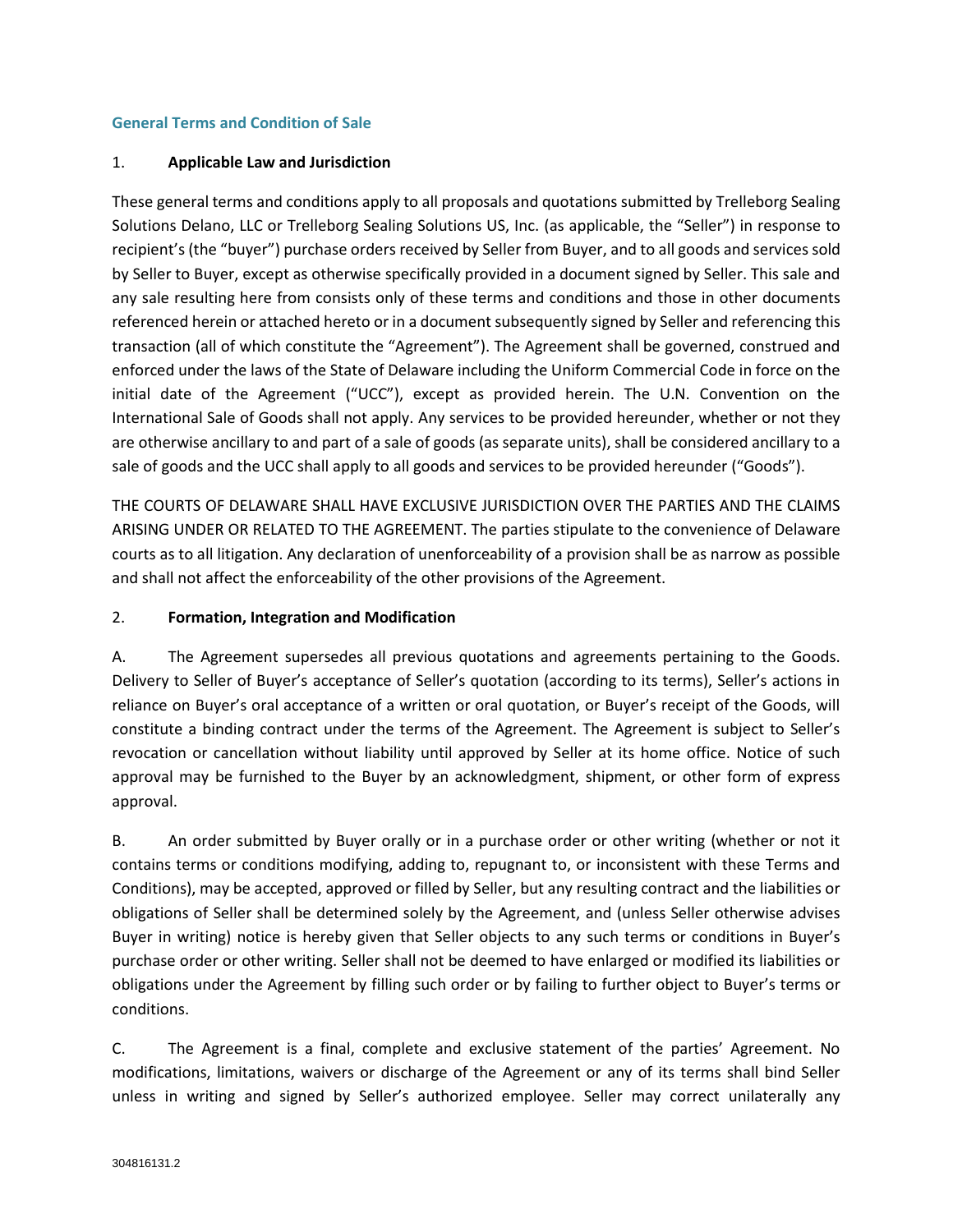#### **General Terms and Condition of Sale**

#### 1. **Applicable Law and Jurisdiction**

These general terms and conditions apply to all proposals and quotations submitted by Trelleborg Sealing Solutions Delano, LLC or Trelleborg Sealing Solutions US, Inc. (as applicable, the "Seller") in response to recipient's (the "buyer") purchase orders received by Seller from Buyer, and to all goods and services sold by Seller to Buyer, except as otherwise specifically provided in a document signed by Seller. This sale and any sale resulting here from consists only of these terms and conditions and those in other documents referenced herein or attached hereto or in a document subsequently signed by Seller and referencing this transaction (all of which constitute the "Agreement"). The Agreement shall be governed, construed and enforced under the laws of the State of Delaware including the Uniform Commercial Code in force on the initial date of the Agreement ("UCC"), except as provided herein. The U.N. Convention on the International Sale of Goods shall not apply. Any services to be provided hereunder, whether or not they are otherwise ancillary to and part of a sale of goods (as separate units), shall be considered ancillary to a sale of goods and the UCC shall apply to all goods and services to be provided hereunder ("Goods").

THE COURTS OF DELAWARE SHALL HAVE EXCLUSIVE JURISDICTION OVER THE PARTIES AND THE CLAIMS ARISING UNDER OR RELATED TO THE AGREEMENT. The parties stipulate to the convenience of Delaware courts as to all litigation. Any declaration of unenforceability of a provision shall be as narrow as possible and shall not affect the enforceability of the other provisions of the Agreement.

#### 2. **Formation, Integration and Modification**

A. The Agreement supersedes all previous quotations and agreements pertaining to the Goods. Delivery to Seller of Buyer's acceptance of Seller's quotation (according to its terms), Seller's actions in reliance on Buyer's oral acceptance of a written or oral quotation, or Buyer's receipt of the Goods, will constitute a binding contract under the terms of the Agreement. The Agreement is subject to Seller's revocation or cancellation without liability until approved by Seller at its home office. Notice of such approval may be furnished to the Buyer by an acknowledgment, shipment, or other form of express approval.

B. An order submitted by Buyer orally or in a purchase order or other writing (whether or not it contains terms or conditions modifying, adding to, repugnant to, or inconsistent with these Terms and Conditions), may be accepted, approved or filled by Seller, but any resulting contract and the liabilities or obligations of Seller shall be determined solely by the Agreement, and (unless Seller otherwise advises Buyer in writing) notice is hereby given that Seller objects to any such terms or conditions in Buyer's purchase order or other writing. Seller shall not be deemed to have enlarged or modified its liabilities or obligations under the Agreement by filling such order or by failing to further object to Buyer's terms or conditions.

C. The Agreement is a final, complete and exclusive statement of the parties' Agreement. No modifications, limitations, waivers or discharge of the Agreement or any of its terms shall bind Seller unless in writing and signed by Seller's authorized employee. Seller may correct unilaterally any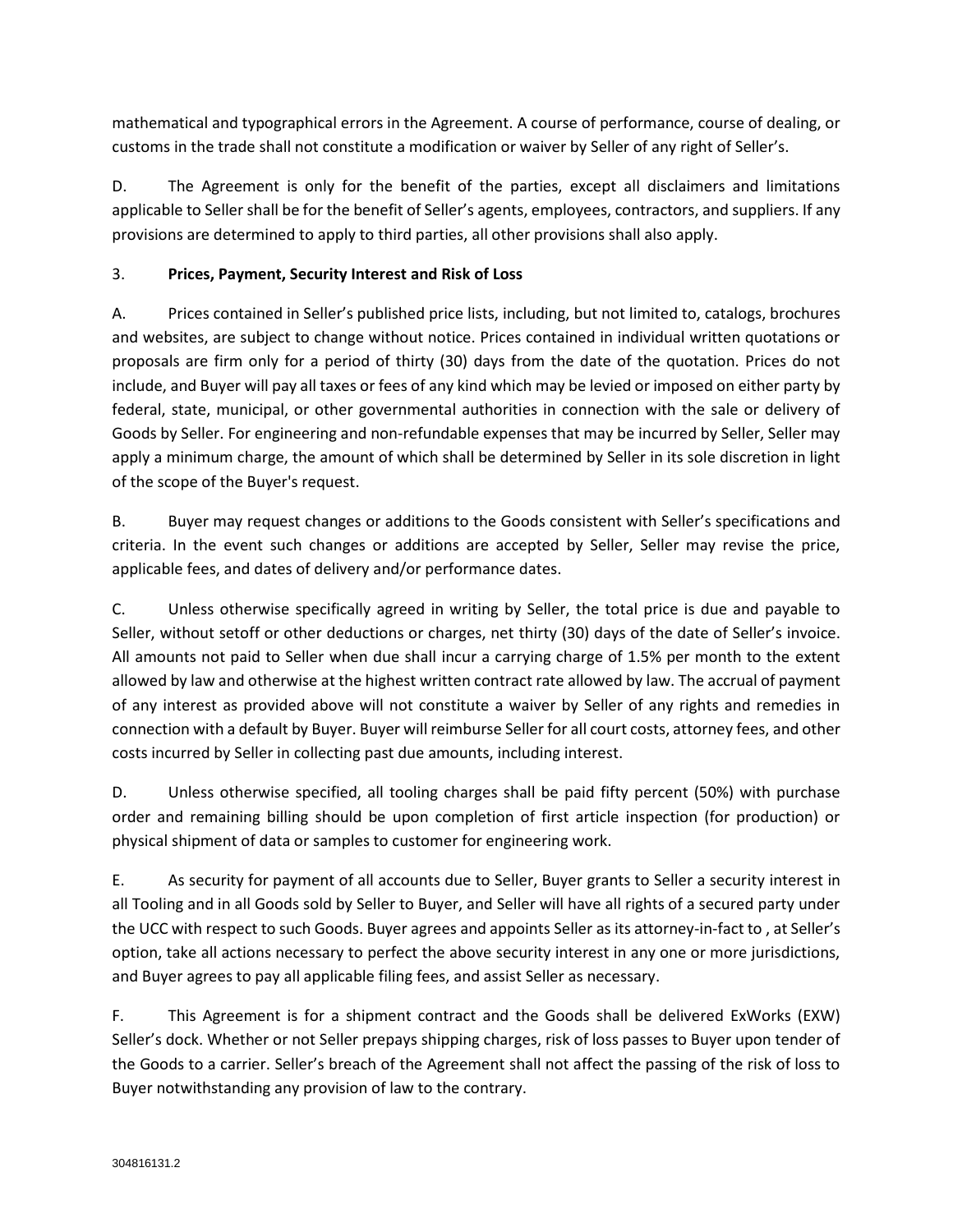mathematical and typographical errors in the Agreement. A course of performance, course of dealing, or customs in the trade shall not constitute a modification or waiver by Seller of any right of Seller's.

D. The Agreement is only for the benefit of the parties, except all disclaimers and limitations applicable to Seller shall be for the benefit of Seller's agents, employees, contractors, and suppliers. If any provisions are determined to apply to third parties, all other provisions shall also apply.

# 3. **Prices, Payment, Security Interest and Risk of Loss**

A. Prices contained in Seller's published price lists, including, but not limited to, catalogs, brochures and websites, are subject to change without notice. Prices contained in individual written quotations or proposals are firm only for a period of thirty (30) days from the date of the quotation. Prices do not include, and Buyer will pay all taxes or fees of any kind which may be levied or imposed on either party by federal, state, municipal, or other governmental authorities in connection with the sale or delivery of Goods by Seller. For engineering and non-refundable expenses that may be incurred by Seller, Seller may apply a minimum charge, the amount of which shall be determined by Seller in its sole discretion in light of the scope of the Buyer's request.

B. Buyer may request changes or additions to the Goods consistent with Seller's specifications and criteria. In the event such changes or additions are accepted by Seller, Seller may revise the price, applicable fees, and dates of delivery and/or performance dates.

C. Unless otherwise specifically agreed in writing by Seller, the total price is due and payable to Seller, without setoff or other deductions or charges, net thirty (30) days of the date of Seller's invoice. All amounts not paid to Seller when due shall incur a carrying charge of 1.5% per month to the extent allowed by law and otherwise at the highest written contract rate allowed by law. The accrual of payment of any interest as provided above will not constitute a waiver by Seller of any rights and remedies in connection with a default by Buyer. Buyer will reimburse Seller for all court costs, attorney fees, and other costs incurred by Seller in collecting past due amounts, including interest.

D. Unless otherwise specified, all tooling charges shall be paid fifty percent (50%) with purchase order and remaining billing should be upon completion of first article inspection (for production) or physical shipment of data or samples to customer for engineering work.

E. As security for payment of all accounts due to Seller, Buyer grants to Seller a security interest in all Tooling and in all Goods sold by Seller to Buyer, and Seller will have all rights of a secured party under the UCC with respect to such Goods. Buyer agrees and appoints Seller as its attorney-in-fact to , at Seller's option, take all actions necessary to perfect the above security interest in any one or more jurisdictions, and Buyer agrees to pay all applicable filing fees, and assist Seller as necessary.

F. This Agreement is for a shipment contract and the Goods shall be delivered ExWorks (EXW) Seller's dock. Whether or not Seller prepays shipping charges, risk of loss passes to Buyer upon tender of the Goods to a carrier. Seller's breach of the Agreement shall not affect the passing of the risk of loss to Buyer notwithstanding any provision of law to the contrary.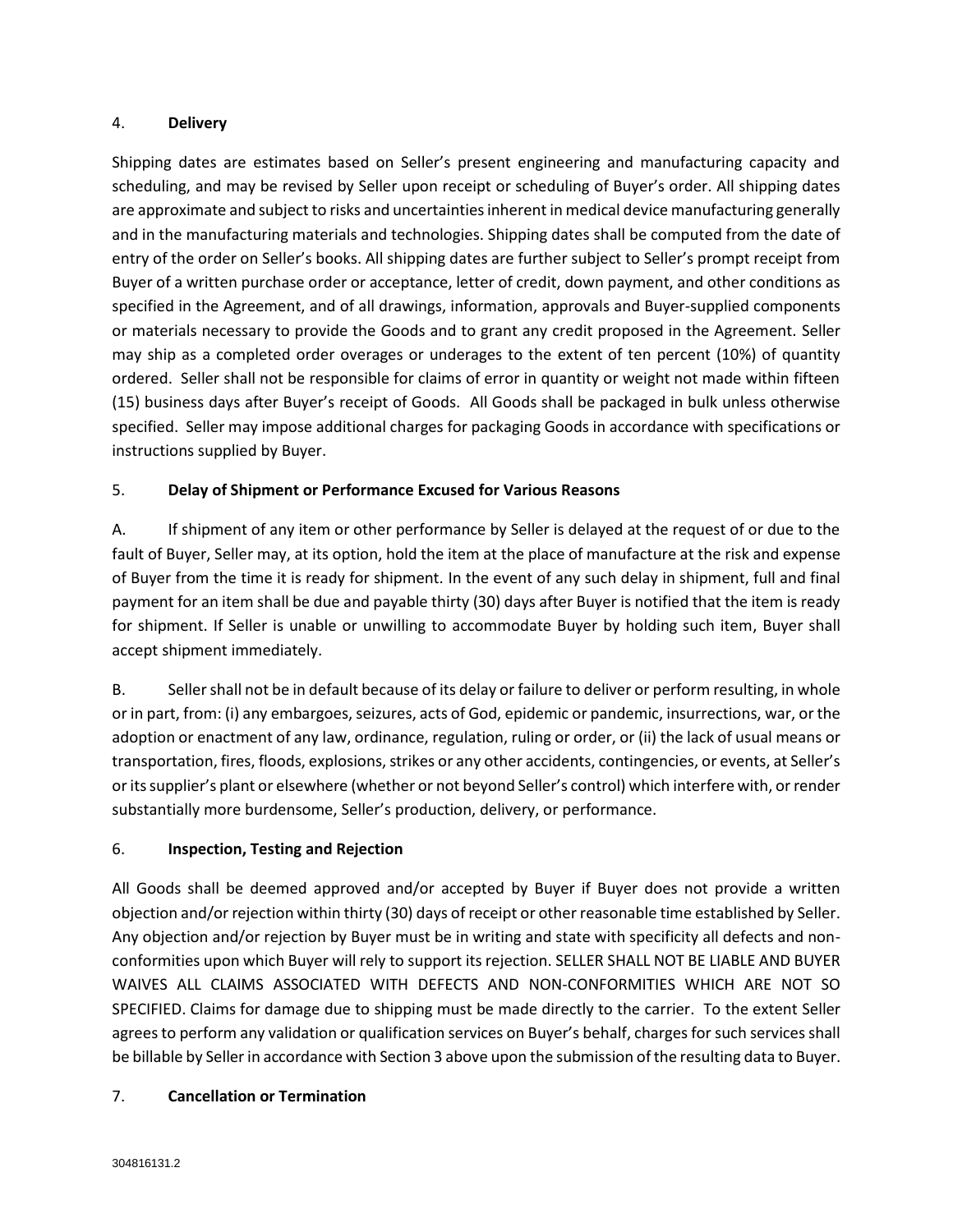#### 4. **Delivery**

Shipping dates are estimates based on Seller's present engineering and manufacturing capacity and scheduling, and may be revised by Seller upon receipt or scheduling of Buyer's order. All shipping dates are approximate and subject to risks and uncertainties inherent in medical device manufacturing generally and in the manufacturing materials and technologies. Shipping dates shall be computed from the date of entry of the order on Seller's books. All shipping dates are further subject to Seller's prompt receipt from Buyer of a written purchase order or acceptance, letter of credit, down payment, and other conditions as specified in the Agreement, and of all drawings, information, approvals and Buyer-supplied components or materials necessary to provide the Goods and to grant any credit proposed in the Agreement. Seller may ship as a completed order overages or underages to the extent of ten percent (10%) of quantity ordered. Seller shall not be responsible for claims of error in quantity or weight not made within fifteen (15) business days after Buyer's receipt of Goods. All Goods shall be packaged in bulk unless otherwise specified. Seller may impose additional charges for packaging Goods in accordance with specifications or instructions supplied by Buyer.

# 5. **Delay of Shipment or Performance Excused for Various Reasons**

A. If shipment of any item or other performance by Seller is delayed at the request of or due to the fault of Buyer, Seller may, at its option, hold the item at the place of manufacture at the risk and expense of Buyer from the time it is ready for shipment. In the event of any such delay in shipment, full and final payment for an item shall be due and payable thirty (30) days after Buyer is notified that the item is ready for shipment. If Seller is unable or unwilling to accommodate Buyer by holding such item, Buyer shall accept shipment immediately.

B. Seller shall not be in default because of its delay or failure to deliver or perform resulting, in whole or in part, from: (i) any embargoes, seizures, acts of God, epidemic or pandemic, insurrections, war, or the adoption or enactment of any law, ordinance, regulation, ruling or order, or (ii) the lack of usual means or transportation, fires, floods, explosions, strikes or any other accidents, contingencies, or events, at Seller's or its supplier's plant or elsewhere (whether or not beyond Seller's control) which interfere with, or render substantially more burdensome, Seller's production, delivery, or performance.

# 6. **Inspection, Testing and Rejection**

All Goods shall be deemed approved and/or accepted by Buyer if Buyer does not provide a written objection and/or rejection within thirty (30) days of receipt or other reasonable time established by Seller. Any objection and/or rejection by Buyer must be in writing and state with specificity all defects and nonconformities upon which Buyer will rely to support its rejection. SELLER SHALL NOT BE LIABLE AND BUYER WAIVES ALL CLAIMS ASSOCIATED WITH DEFECTS AND NON-CONFORMITIES WHICH ARE NOT SO SPECIFIED. Claims for damage due to shipping must be made directly to the carrier. To the extent Seller agrees to perform any validation or qualification services on Buyer's behalf, charges for such services shall be billable by Seller in accordance with Section 3 above upon the submission of the resulting data to Buyer.

# 7. **Cancellation or Termination**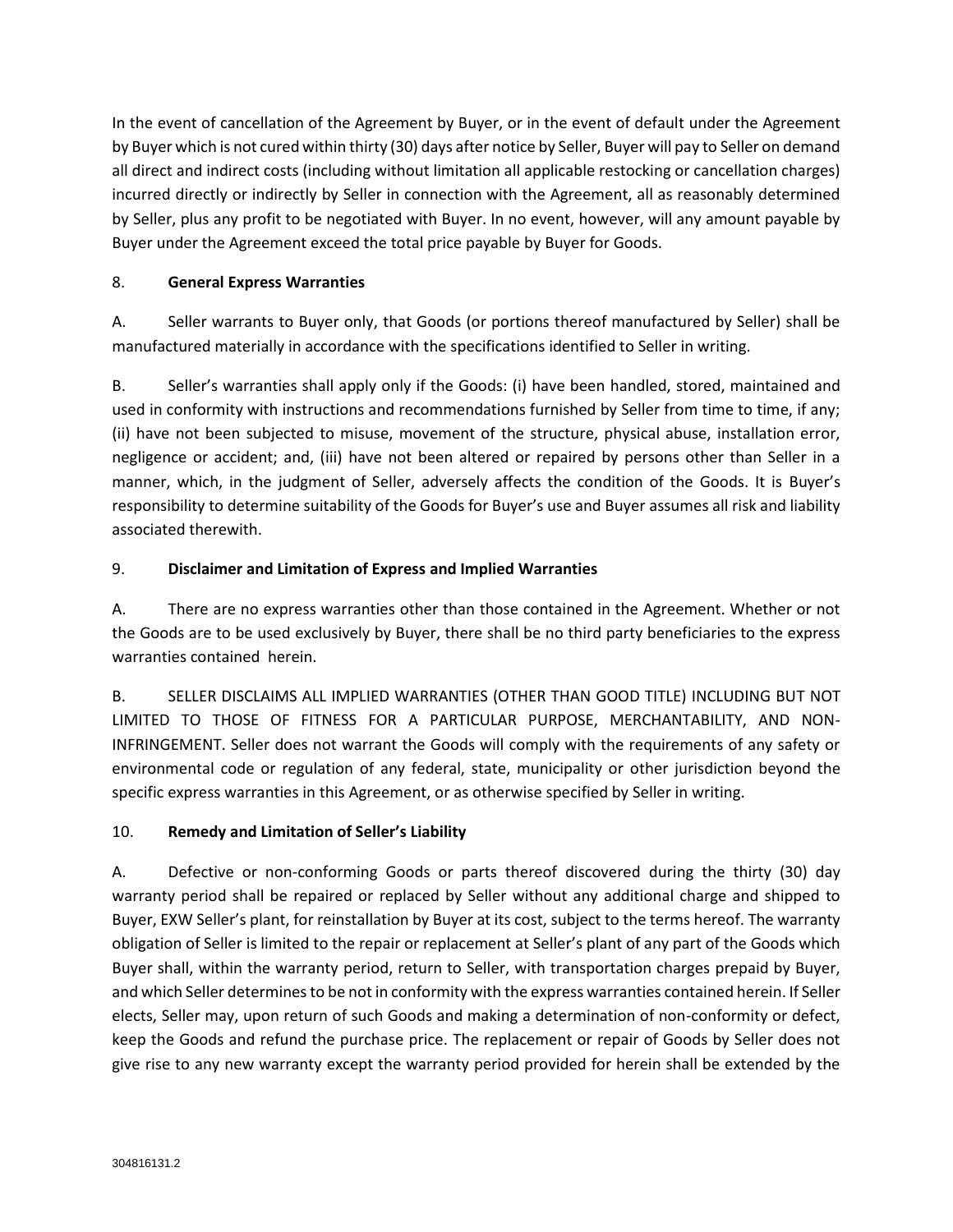In the event of cancellation of the Agreement by Buyer, or in the event of default under the Agreement by Buyer which is not cured within thirty (30) days after notice by Seller, Buyer will pay to Seller on demand all direct and indirect costs (including without limitation all applicable restocking or cancellation charges) incurred directly or indirectly by Seller in connection with the Agreement, all as reasonably determined by Seller, plus any profit to be negotiated with Buyer. In no event, however, will any amount payable by Buyer under the Agreement exceed the total price payable by Buyer for Goods.

## 8. **General Express Warranties**

A. Seller warrants to Buyer only, that Goods (or portions thereof manufactured by Seller) shall be manufactured materially in accordance with the specifications identified to Seller in writing.

B. Seller's warranties shall apply only if the Goods: (i) have been handled, stored, maintained and used in conformity with instructions and recommendations furnished by Seller from time to time, if any; (ii) have not been subjected to misuse, movement of the structure, physical abuse, installation error, negligence or accident; and, (iii) have not been altered or repaired by persons other than Seller in a manner, which, in the judgment of Seller, adversely affects the condition of the Goods. It is Buyer's responsibility to determine suitability of the Goods for Buyer's use and Buyer assumes all risk and liability associated therewith.

## 9. **Disclaimer and Limitation of Express and Implied Warranties**

A. There are no express warranties other than those contained in the Agreement. Whether or not the Goods are to be used exclusively by Buyer, there shall be no third party beneficiaries to the express warranties contained herein.

B. SELLER DISCLAIMS ALL IMPLIED WARRANTIES (OTHER THAN GOOD TITLE) INCLUDING BUT NOT LIMITED TO THOSE OF FITNESS FOR A PARTICULAR PURPOSE, MERCHANTABILITY, AND NON-INFRINGEMENT. Seller does not warrant the Goods will comply with the requirements of any safety or environmental code or regulation of any federal, state, municipality or other jurisdiction beyond the specific express warranties in this Agreement, or as otherwise specified by Seller in writing.

# 10. **Remedy and Limitation of Seller's Liability**

A. Defective or non-conforming Goods or parts thereof discovered during the thirty (30) day warranty period shall be repaired or replaced by Seller without any additional charge and shipped to Buyer, EXW Seller's plant, for reinstallation by Buyer at its cost, subject to the terms hereof. The warranty obligation of Seller is limited to the repair or replacement at Seller's plant of any part of the Goods which Buyer shall, within the warranty period, return to Seller, with transportation charges prepaid by Buyer, and which Seller determines to be not in conformity with the express warranties contained herein. If Seller elects, Seller may, upon return of such Goods and making a determination of non-conformity or defect, keep the Goods and refund the purchase price. The replacement or repair of Goods by Seller does not give rise to any new warranty except the warranty period provided for herein shall be extended by the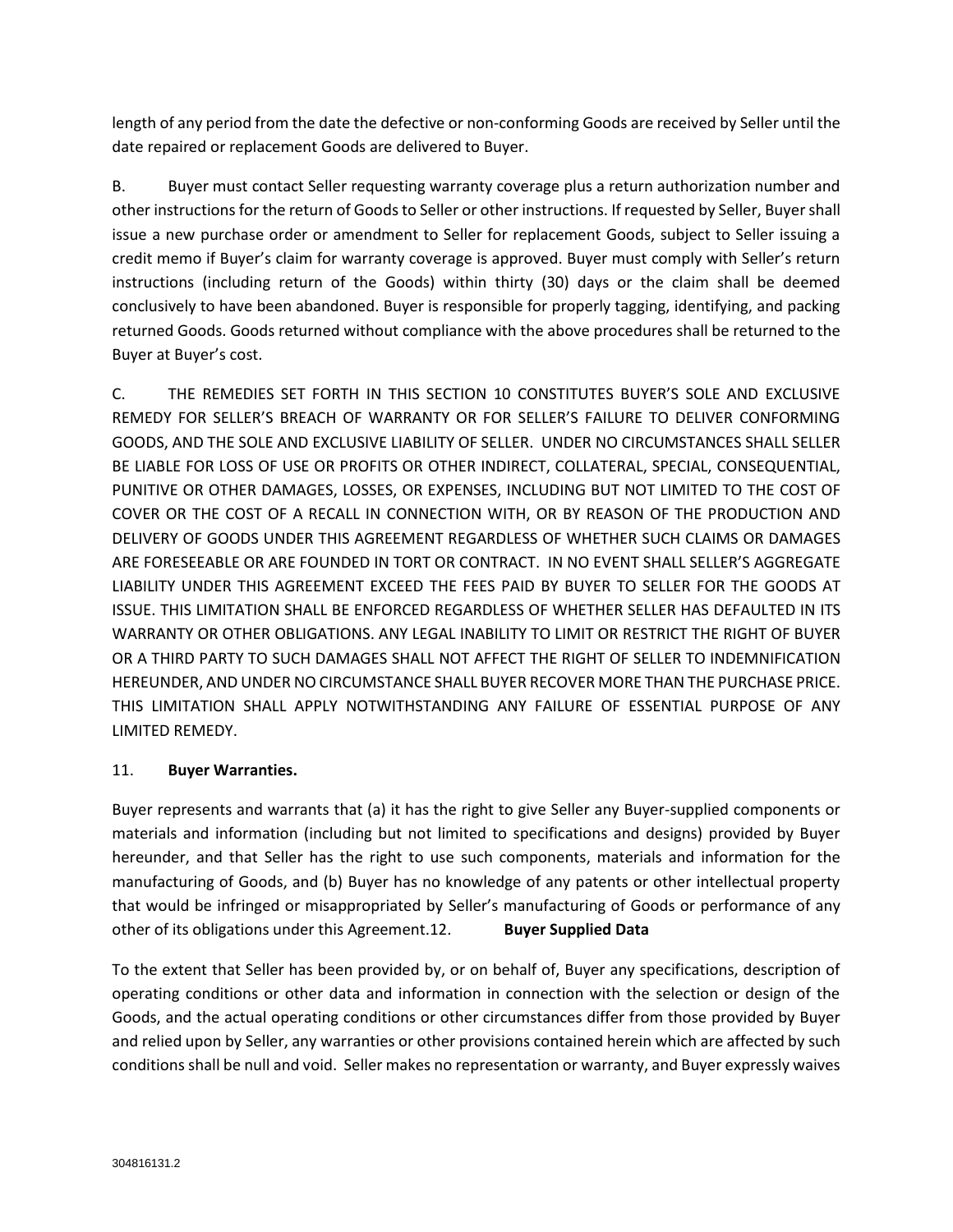length of any period from the date the defective or non-conforming Goods are received by Seller until the date repaired or replacement Goods are delivered to Buyer.

B. Buyer must contact Seller requesting warranty coverage plus a return authorization number and other instructions for the return of Goods to Seller or other instructions. If requested by Seller, Buyer shall issue a new purchase order or amendment to Seller for replacement Goods, subject to Seller issuing a credit memo if Buyer's claim for warranty coverage is approved. Buyer must comply with Seller's return instructions (including return of the Goods) within thirty (30) days or the claim shall be deemed conclusively to have been abandoned. Buyer is responsible for properly tagging, identifying, and packing returned Goods. Goods returned without compliance with the above procedures shall be returned to the Buyer at Buyer's cost.

C. THE REMEDIES SET FORTH IN THIS SECTION 10 CONSTITUTES BUYER'S SOLE AND EXCLUSIVE REMEDY FOR SELLER'S BREACH OF WARRANTY OR FOR SELLER'S FAILURE TO DELIVER CONFORMING GOODS, AND THE SOLE AND EXCLUSIVE LIABILITY OF SELLER. UNDER NO CIRCUMSTANCES SHALL SELLER BE LIABLE FOR LOSS OF USE OR PROFITS OR OTHER INDIRECT, COLLATERAL, SPECIAL, CONSEQUENTIAL, PUNITIVE OR OTHER DAMAGES, LOSSES, OR EXPENSES, INCLUDING BUT NOT LIMITED TO THE COST OF COVER OR THE COST OF A RECALL IN CONNECTION WITH, OR BY REASON OF THE PRODUCTION AND DELIVERY OF GOODS UNDER THIS AGREEMENT REGARDLESS OF WHETHER SUCH CLAIMS OR DAMAGES ARE FORESEEABLE OR ARE FOUNDED IN TORT OR CONTRACT. IN NO EVENT SHALL SELLER'S AGGREGATE LIABILITY UNDER THIS AGREEMENT EXCEED THE FEES PAID BY BUYER TO SELLER FOR THE GOODS AT ISSUE. THIS LIMITATION SHALL BE ENFORCED REGARDLESS OF WHETHER SELLER HAS DEFAULTED IN ITS WARRANTY OR OTHER OBLIGATIONS. ANY LEGAL INABILITY TO LIMIT OR RESTRICT THE RIGHT OF BUYER OR A THIRD PARTY TO SUCH DAMAGES SHALL NOT AFFECT THE RIGHT OF SELLER TO INDEMNIFICATION HEREUNDER, AND UNDER NO CIRCUMSTANCE SHALL BUYER RECOVER MORE THAN THE PURCHASE PRICE. THIS LIMITATION SHALL APPLY NOTWITHSTANDING ANY FAILURE OF ESSENTIAL PURPOSE OF ANY LIMITED REMEDY.

# 11. **Buyer Warranties.**

Buyer represents and warrants that (a) it has the right to give Seller any Buyer-supplied components or materials and information (including but not limited to specifications and designs) provided by Buyer hereunder, and that Seller has the right to use such components, materials and information for the manufacturing of Goods, and (b) Buyer has no knowledge of any patents or other intellectual property that would be infringed or misappropriated by Seller's manufacturing of Goods or performance of any other of its obligations under this Agreement.12. **Buyer Supplied Data**

To the extent that Seller has been provided by, or on behalf of, Buyer any specifications, description of operating conditions or other data and information in connection with the selection or design of the Goods, and the actual operating conditions or other circumstances differ from those provided by Buyer and relied upon by Seller, any warranties or other provisions contained herein which are affected by such conditions shall be null and void. Seller makes no representation or warranty, and Buyer expressly waives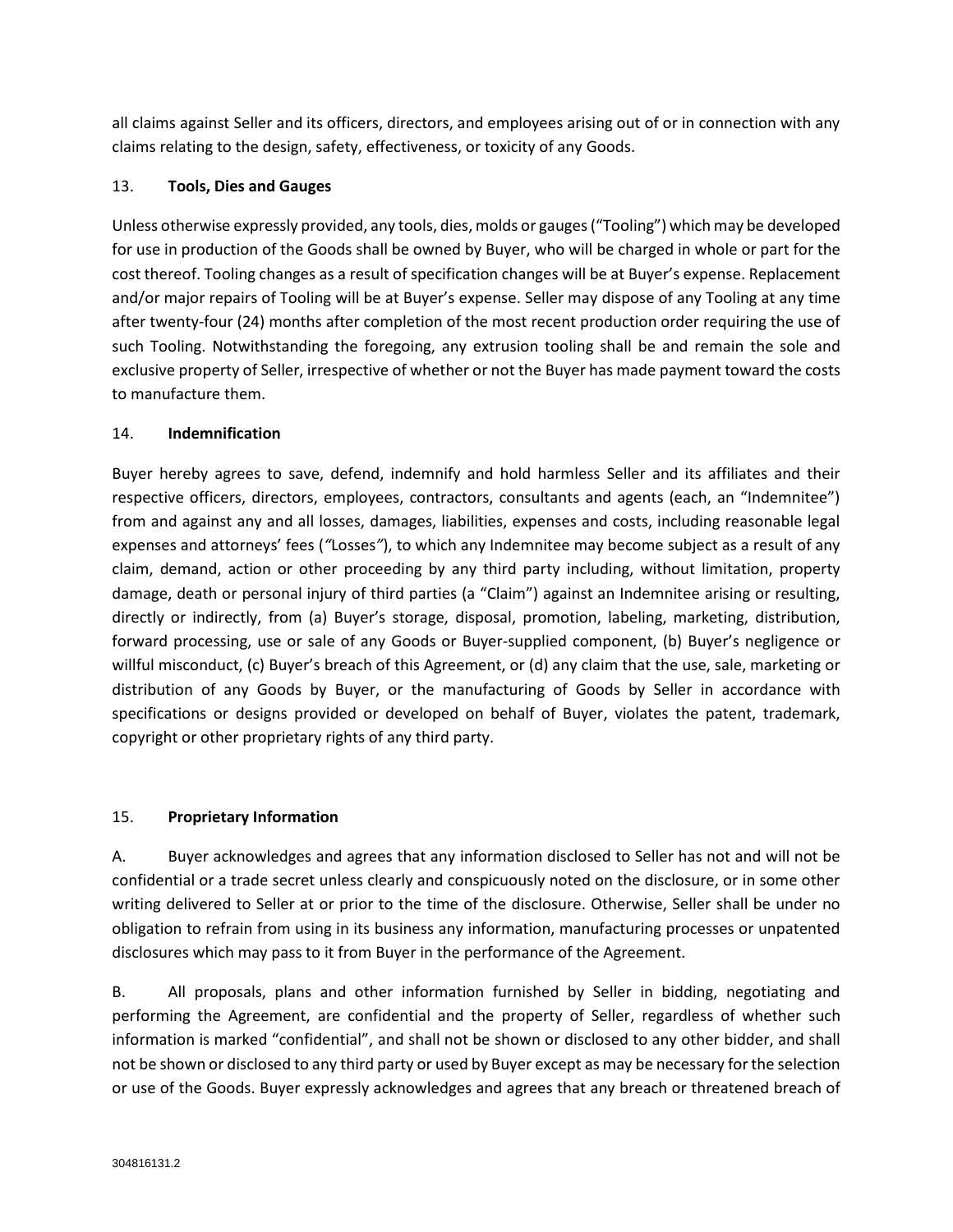all claims against Seller and its officers, directors, and employees arising out of or in connection with any claims relating to the design, safety, effectiveness, or toxicity of any Goods.

## 13. **Tools, Dies and Gauges**

Unless otherwise expressly provided, any tools, dies, molds or gauges("Tooling") which may be developed for use in production of the Goods shall be owned by Buyer, who will be charged in whole or part for the cost thereof. Tooling changes as a result of specification changes will be at Buyer's expense. Replacement and/or major repairs of Tooling will be at Buyer's expense. Seller may dispose of any Tooling at any time after twenty-four (24) months after completion of the most recent production order requiring the use of such Tooling. Notwithstanding the foregoing, any extrusion tooling shall be and remain the sole and exclusive property of Seller, irrespective of whether or not the Buyer has made payment toward the costs to manufacture them.

## 14. **Indemnification**

Buyer hereby agrees to save, defend, indemnify and hold harmless Seller and its affiliates and their respective officers, directors, employees, contractors, consultants and agents (each, an "Indemnitee") from and against any and all losses, damages, liabilities, expenses and costs, including reasonable legal expenses and attorneys' fees (*"*Losses*"*), to which any Indemnitee may become subject as a result of any claim, demand, action or other proceeding by any third party including, without limitation, property damage, death or personal injury of third parties (a "Claim") against an Indemnitee arising or resulting, directly or indirectly, from (a) Buyer's storage, disposal, promotion, labeling, marketing, distribution, forward processing, use or sale of any Goods or Buyer-supplied component, (b) Buyer's negligence or willful misconduct, (c) Buyer's breach of this Agreement, or (d) any claim that the use, sale, marketing or distribution of any Goods by Buyer, or the manufacturing of Goods by Seller in accordance with specifications or designs provided or developed on behalf of Buyer, violates the patent, trademark, copyright or other proprietary rights of any third party.

# 15. **Proprietary Information**

A. Buyer acknowledges and agrees that any information disclosed to Seller has not and will not be confidential or a trade secret unless clearly and conspicuously noted on the disclosure, or in some other writing delivered to Seller at or prior to the time of the disclosure. Otherwise, Seller shall be under no obligation to refrain from using in its business any information, manufacturing processes or unpatented disclosures which may pass to it from Buyer in the performance of the Agreement.

B. All proposals, plans and other information furnished by Seller in bidding, negotiating and performing the Agreement, are confidential and the property of Seller, regardless of whether such information is marked "confidential", and shall not be shown or disclosed to any other bidder, and shall not be shown or disclosed to any third party or used by Buyer except as may be necessary for the selection or use of the Goods. Buyer expressly acknowledges and agrees that any breach or threatened breach of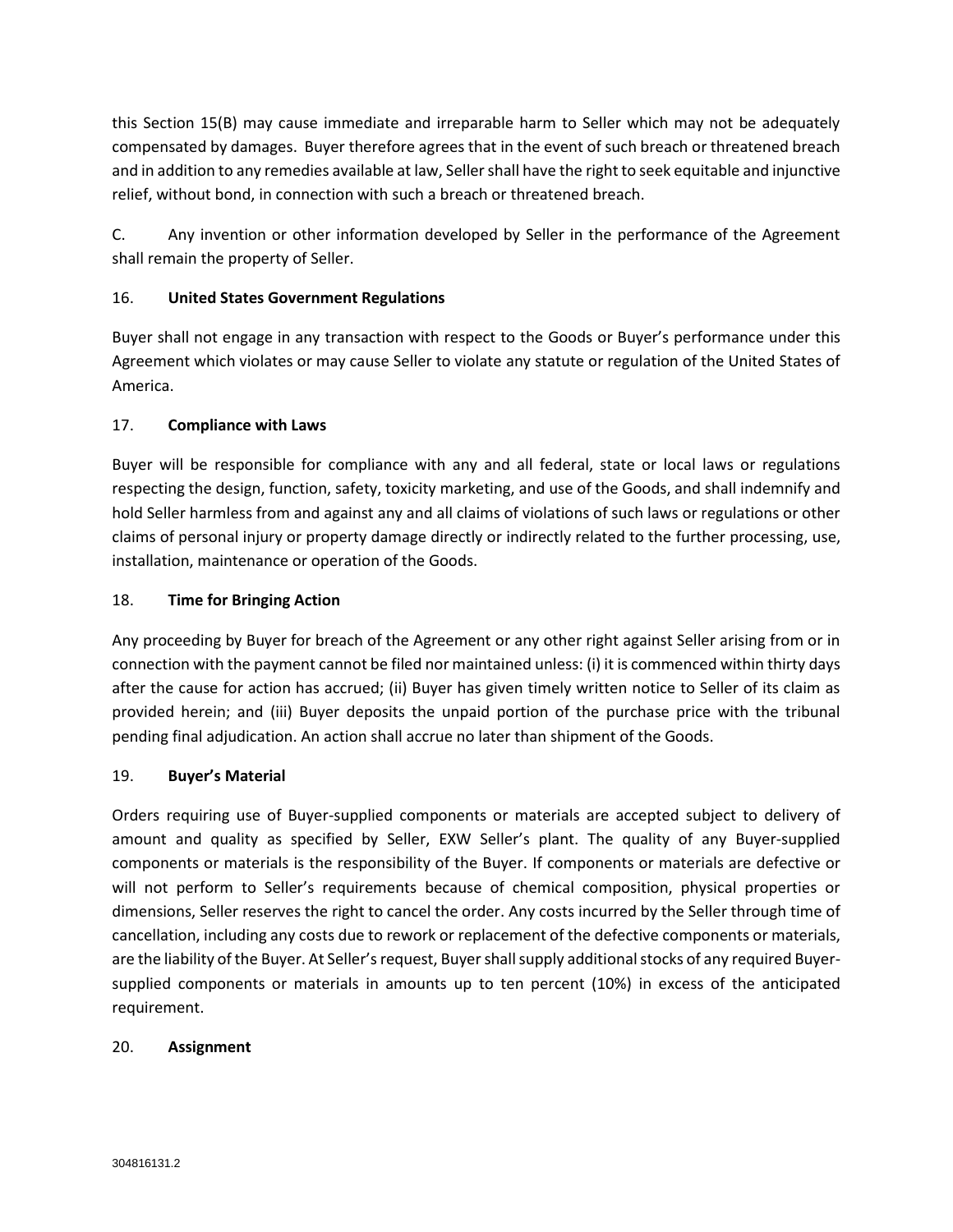this Section 15(B) may cause immediate and irreparable harm to Seller which may not be adequately compensated by damages. Buyer therefore agrees that in the event of such breach or threatened breach and in addition to any remedies available at law, Seller shall have the right to seek equitable and injunctive relief, without bond, in connection with such a breach or threatened breach.

C. Any invention or other information developed by Seller in the performance of the Agreement shall remain the property of Seller.

## 16. **United States Government Regulations**

Buyer shall not engage in any transaction with respect to the Goods or Buyer's performance under this Agreement which violates or may cause Seller to violate any statute or regulation of the United States of America.

## 17. **Compliance with Laws**

Buyer will be responsible for compliance with any and all federal, state or local laws or regulations respecting the design, function, safety, toxicity marketing, and use of the Goods, and shall indemnify and hold Seller harmless from and against any and all claims of violations of such laws or regulations or other claims of personal injury or property damage directly or indirectly related to the further processing, use, installation, maintenance or operation of the Goods.

## 18. **Time for Bringing Action**

Any proceeding by Buyer for breach of the Agreement or any other right against Seller arising from or in connection with the payment cannot be filed nor maintained unless: (i) it is commenced within thirty days after the cause for action has accrued; (ii) Buyer has given timely written notice to Seller of its claim as provided herein; and (iii) Buyer deposits the unpaid portion of the purchase price with the tribunal pending final adjudication. An action shall accrue no later than shipment of the Goods.

#### 19. **Buyer's Material**

Orders requiring use of Buyer-supplied components or materials are accepted subject to delivery of amount and quality as specified by Seller, EXW Seller's plant. The quality of any Buyer-supplied components or materials is the responsibility of the Buyer. If components or materials are defective or will not perform to Seller's requirements because of chemical composition, physical properties or dimensions, Seller reserves the right to cancel the order. Any costs incurred by the Seller through time of cancellation, including any costs due to rework or replacement of the defective components or materials, are the liability of the Buyer. At Seller's request, Buyer shall supply additional stocks of any required Buyersupplied components or materials in amounts up to ten percent (10%) in excess of the anticipated requirement.

#### 20. **Assignment**